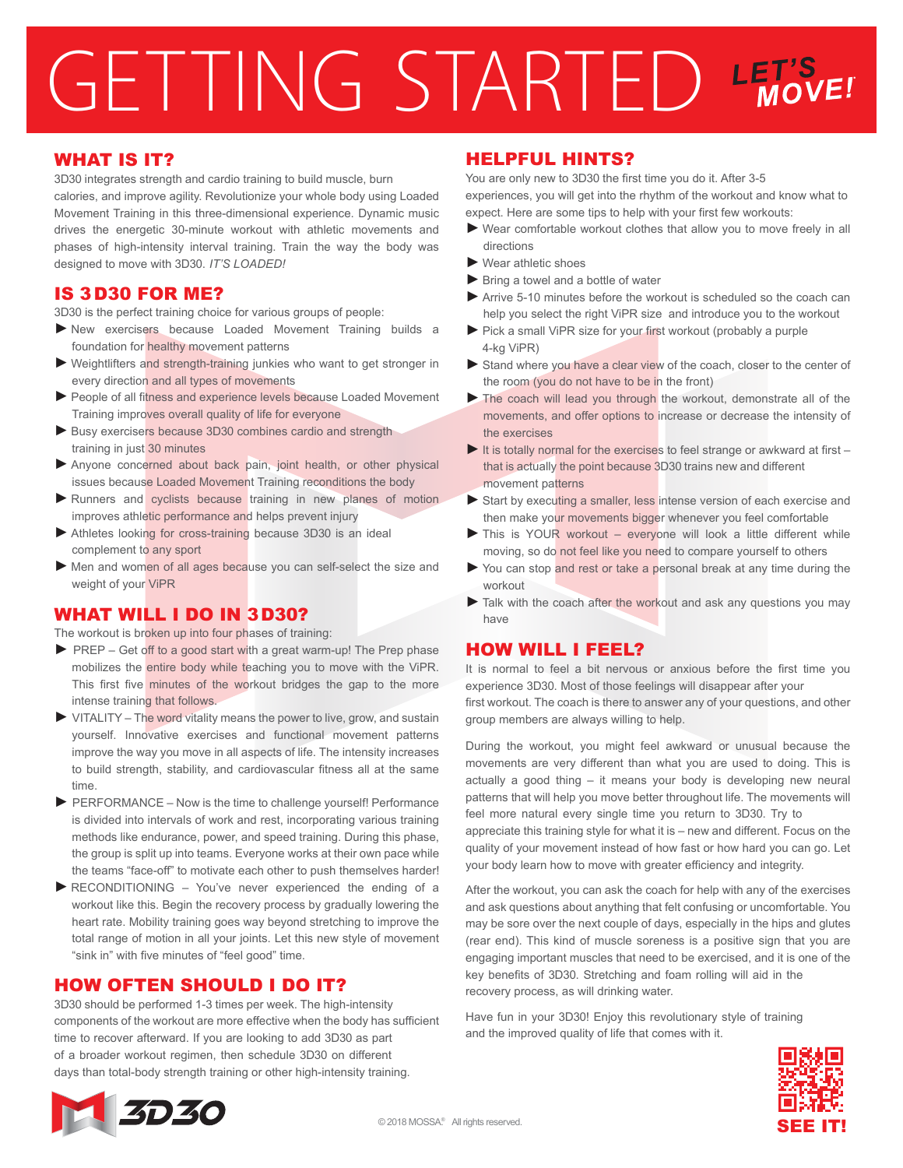# GETTING STARTED LET'S

### WHAT IS IT?

3D30 integrates strength and cardio training to build muscle, burn calories, and improve agility. Revolutionize your whole body using Loaded Movement Training in this three-dimensional experience. Dynamic music drives the energetic 30-minute workout with athletic movements and phases of high-intensity interval training. Train the way the body was designed to move with 3D30. *IT'S LOADED!*

### IS 3D30 FOR ME?

3D30 is the perfect training choice for various groups of people:

- ►New exercisers because Loaded Movement Training builds a foundation for healthy movement patterns
- ►Weightlifters and strength-training junkies who want to get stronger in every direction and all types of movements
- ▶ People of all fitness and experience levels because Loaded Movement Training improves overall quality of life for everyone
- ► Busy exercisers because 3D30 combines cardio and strength training in just 30 minutes
- ▶ Anyone concerned about back pain, joint health, or other physical issues because Loaded Movement Training reconditions the body
- ▶ Runners and cyclists because training in new planes of motion improves athletic performance and helps prevent injury
- ▶ Athletes looking for cross-training because 3D30 is an ideal complement to any sport
- ▶ Men and women of all ages because you can self-select the size and weight of your ViPR

# WHAT WILL I DO IN 3D30?

The workout is broken up into four phases of training:

- ► PREP Get off to a good start with a great warm-up! The Prep phase mobilizes the entire body while teaching you to move with the ViPR. This first five minutes of the workout bridges the gap to the more intense training that follows.
- ► VITALITY The word vitality means the power to live, grow, and sustain yourself. Innovative exercises and functional movement patterns improve the way you move in all aspects of life. The intensity increases to build strength, stability, and cardiovascular fitness all at the same time.
- ► PERFORMANCE Now is the time to challenge yourself! Performance is divided into intervals of work and rest, incorporating various training methods like endurance, power, and speed training. During this phase, the group is split up into teams. Everyone works at their own pace while the teams "face-off" to motivate each other to push themselves harder!
- ►RECONDITIONING You've never experienced the ending of a workout like this. Begin the recovery process by gradually lowering the heart rate. Mobility training goes way beyond stretching to improve the total range of motion in all your joints. Let this new style of movement "sink in" with five minutes of "feel good" time.

## HOW OFTEN SHOULD I DO IT?

3D30 should be performed 1-3 times per week. The high-intensity components of the workout are more effective when the body has sufficient time to recover afterward. If you are looking to add 3D30 as part of a broader workout regimen, then schedule 3D30 on different days than total-body strength training or other high-intensity training.

### HELPFUL HINTS?

You are only new to 3D30 the first time you do it. After 3-5 experiences, you will get into the rhythm of the workout and know what to expect. Here are some tips to help with your first few workouts:

- ►Wear comfortable workout clothes that allow you to move freely in all directions
- ►Wear athletic shoes
- ► Bring a towel and a bottle of water
- ►Arrive 5-10 minutes before the workout is scheduled so the coach can help you select the right ViPR size and introduce you to the workout
- ▶ Pick a small ViPR size for your first workout (probably a purple 4-kg ViPR)
- ► Stand where you have a clear view of the coach, closer to the center of the room (you do not have to be in the front)
- ►The coach will lead you through the workout, demonstrate all of the movements, and offer options to increase or decrease the intensity of the exercises
- $\blacktriangleright$  It is totally normal for the exercises to feel strange or awkward at first that is actually the point because 3D30 trains new and different movement patterns
- ► Start by executing a smaller, less intense version of each exercise and then make your movements bigger whenever you feel comfortable
- ▶ This is YOUR workout everyone will look a little different while moving, so do not feel like you need to compare yourself to others
- You can stop and rest or take a personal break at any time during the workout
- ► Talk with the coach after the workout and ask any questions you may have

### HOW WILL I FEEL?

It is normal to feel a bit nervous or anxious before the first time you experience 3D30. Most of those feelings will disappear after your first workout. The coach is there to answer any of your questions, and other group members are always willing to help.

During the workout, you might feel awkward or unusual because the movements are very different than what you are used to doing. This is actually a good thing – it means your body is developing new neural patterns that will help you move better throughout life. The movements will feel more natural every single time you return to 3D30. Try to appreciate this training style for what it is – new and different. Focus on the quality of your movement instead of how fast or how hard you can go. Let your body learn how to move with greater efficiency and integrity.

After the workout, you can ask the coach for help with any of the exercises and ask questions about anything that felt confusing or uncomfortable. You may be sore over the next couple of days, especially in the hips and glutes (rear end). This kind of muscle soreness is a positive sign that you are engaging important muscles that need to be exercised, and it is one of the key benefits of 3D30. Stretching and foam rolling will aid in the recovery process, as will drinking water.

Have fun in your 3D30! Enjoy this revolutionary style of training and the improved quality of life that comes with it.